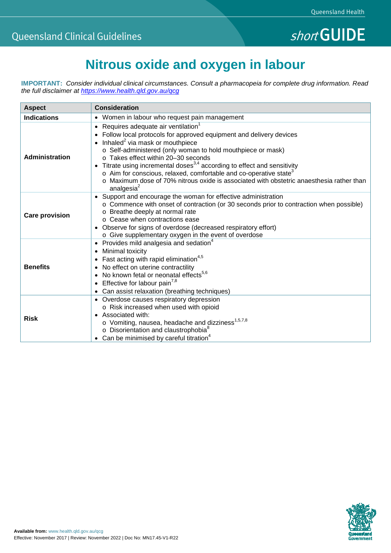## **Nitrous oxide and oxygen in labour**

**IMPORTANT:** *Consider individual clinical circumstances. Consult a pharmacopeia for complete drug information. Read the full disclaimer at<https://www.health.qld.gov.au/qcg>*

| <b>Aspect</b>         | <b>Consideration</b>                                                                                                                                                                                                                                                                                                                                                                                                                                                                                                                                                               |
|-----------------------|------------------------------------------------------------------------------------------------------------------------------------------------------------------------------------------------------------------------------------------------------------------------------------------------------------------------------------------------------------------------------------------------------------------------------------------------------------------------------------------------------------------------------------------------------------------------------------|
| <b>Indications</b>    | • Women in labour who request pain management                                                                                                                                                                                                                                                                                                                                                                                                                                                                                                                                      |
| Administration        | Requires adequate air ventilation <sup>1</sup><br>• Follow local protocols for approved equipment and delivery devices<br>• Inhaled <sup>2</sup> via mask or mouthpiece<br>o Self-administered (only woman to hold mouthpiece or mask)<br>o Takes effect within 20-30 seconds<br>• Titrate using incremental doses <sup>3,4</sup> according to effect and sensitivity<br>$\circ$ Aim for conscious, relaxed, comfortable and co-operative state <sup>3</sup><br>o Maximum dose of 70% nitrous oxide is associated with obstetric anaesthesia rather than<br>analgesia <sup>2</sup> |
| <b>Care provision</b> | • Support and encourage the woman for effective administration<br>○ Commence with onset of contraction (or 30 seconds prior to contraction when possible)<br>o Breathe deeply at normal rate<br>o Cease when contractions ease<br>• Observe for signs of overdose (decreased respiratory effort)<br>o Give supplementary oxygen in the event of overdose                                                                                                                                                                                                                           |
| <b>Benefits</b>       | • Provides mild analgesia and sedation <sup>4</sup><br>• Minimal toxicity<br>Fast acting with rapid elimination <sup>4,5</sup><br>• No effect on uterine contractility<br>• No known fetal or neonatal effects <sup>5,6</sup><br>• Effective for labour pain <sup>7,8</sup><br>Can assist relaxation (breathing techniques)                                                                                                                                                                                                                                                        |
| <b>Risk</b>           | • Overdose causes respiratory depression<br>o Risk increased when used with opioid<br>• Associated with:<br>o Vomiting, nausea, headache and dizziness <sup>1,5,7,8</sup><br>o Disorientation and claustrophobia <sup>8</sup><br>• Can be minimised by careful titration <sup>4</sup>                                                                                                                                                                                                                                                                                              |